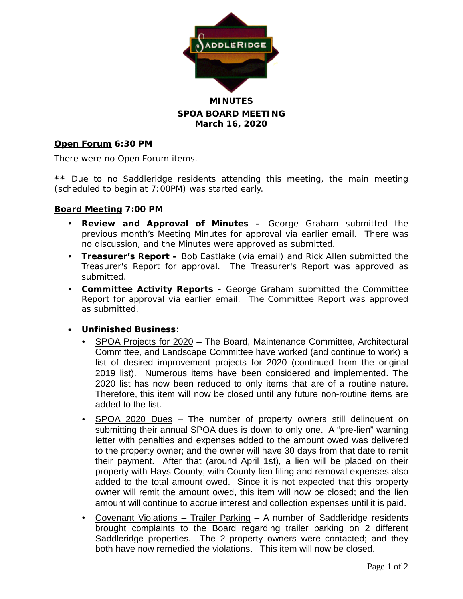

**SPOA BOARD MEETING March 16, 2020**

## **Open Forum 6:30 PM**

There were no Open Forum items.

**\*\*** Due to no Saddleridge residents attending this meeting, the main meeting (scheduled to begin at 7:00PM) was started early.

### **Board Meeting 7:00 PM**

- **Review and Approval of Minutes –** George Graham submitted the previous month's Meeting Minutes for approval via earlier email. There was no discussion, and the Minutes were approved as submitted.
- **Treasurer's Report –** Bob Eastlake (via email) and Rick Allen submitted the Treasurer's Report for approval. The Treasurer's Report was approved as submitted.
- **Committee Activity Reports -** George Graham submitted the Committee Report for approval via earlier email. The Committee Report was approved as submitted.

### • **Unfinished Business:**

- SPOA Projects for 2020 The Board, Maintenance Committee, Architectural Committee, and Landscape Committee have worked (and continue to work) a list of desired improvement projects for 2020 (continued from the original 2019 list). Numerous items have been considered and implemented. The 2020 list has now been reduced to only items that are of a routine nature. Therefore, this item will now be closed until any future non-routine items are added to the list.
- SPOA 2020 Dues The number of property owners still delinquent on submitting their annual SPOA dues is down to only one. A "pre-lien" warning letter with penalties and expenses added to the amount owed was delivered to the property owner; and the owner will have 30 days from that date to remit their payment. After that (around April 1st), a lien will be placed on their property with Hays County; with County lien filing and removal expenses also added to the total amount owed. Since it is not expected that this property owner will remit the amount owed, this item will now be closed; and the lien amount will continue to accrue interest and collection expenses until it is paid.
- Covenant Violations Trailer Parking A number of Saddleridge residents brought complaints to the Board regarding trailer parking on 2 different Saddleridge properties. The 2 property owners were contacted; and they both have now remedied the violations. This item will now be closed.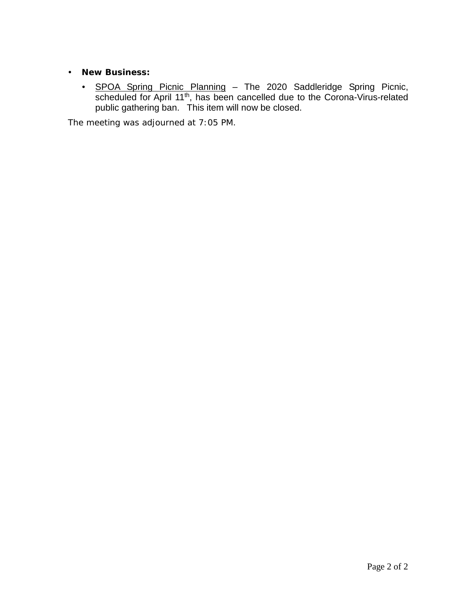- **New Business:**
	- **SPOA Spring Picnic Planning** The 2020 Saddleridge Spring Picnic, scheduled for April 11<sup>th</sup>, has been cancelled due to the Corona-Virus-related public gathering ban. This item will now be closed.

The meeting was adjourned at 7:05 PM.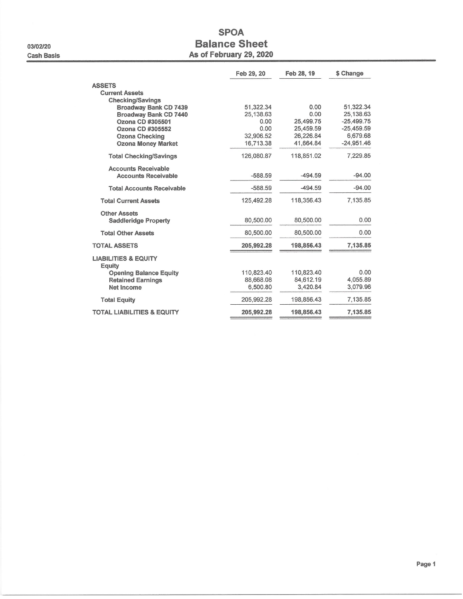03/02/20 **Cash Basis** 

## **SPOA Balance Sheet** As of February 29, 2020

|                                           | Feb 29, 20        | Feb 28, 19             | \$ Change                 |
|-------------------------------------------|-------------------|------------------------|---------------------------|
| <b>ASSETS</b>                             |                   |                        |                           |
| <b>Current Assets</b>                     |                   |                        |                           |
| <b>Checking/Savings</b>                   |                   |                        |                           |
| <b>Broadway Bank CD 7439</b>              | 51,322.34         | 0.00                   | 51,322.34                 |
| Broadway Bank CD 7440                     | 25,138.63<br>0.00 | 0.00                   | 25,138.63<br>$-25,499.75$ |
| Ozona CD #305501<br>Ozona CD #305552      | 0.00              | 25,499.75<br>25,459.59 | $-25,459.59$              |
| <b>Ozona Checking</b>                     | 32.906.52         | 26,226.84              | 6,679.68                  |
| <b>Ozona Money Market</b>                 | 16,713.38         | 41,664.84              | $-24,951.46$              |
| <b>Total Checking/Savings</b>             | 126,080.87        | 118,851.02             | 7,229.85                  |
| <b>Accounts Receivable</b>                |                   |                        |                           |
| <b>Accounts Receivable</b>                | $-588.59$         | $-494.59$              | $-94.00$                  |
| <b>Total Accounts Receivable</b>          | $-588.59$         | $-494.59$              | $-94.00$                  |
| <b>Total Current Assets</b>               | 125,492.28        | 118,356.43             | 7.135.85                  |
| <b>Other Assets</b>                       |                   |                        |                           |
| <b>Saddleridge Property</b>               | 80,500.00         | 80,500.00              | 0.00                      |
| <b>Total Other Assets</b>                 | 80,500.00         | 80,500.00              | 0.00                      |
| <b>TOTAL ASSETS</b>                       | 205,992.28        | 198,856.43             | 7,135.85                  |
| <b>LIABILITIES &amp; EQUITY</b><br>Equity |                   |                        |                           |
| <b>Opening Balance Equity</b>             | 110,823.40        | 110,823.40             | 0.00                      |
| <b>Retained Earnings</b>                  | 88,668.08         | 84,612.19              | 4,055.89                  |
| Net Income                                | 6.500.80          | 3.420.84               | 3.079.96                  |
| <b>Total Equity</b>                       | 205,992.28        | 198,856.43             | 7,135.85                  |
| <b>TOTAL LIABILITIES &amp; EQUITY</b>     | 205,992.28        | 198,856.43             | 7,135.85                  |
|                                           |                   |                        |                           |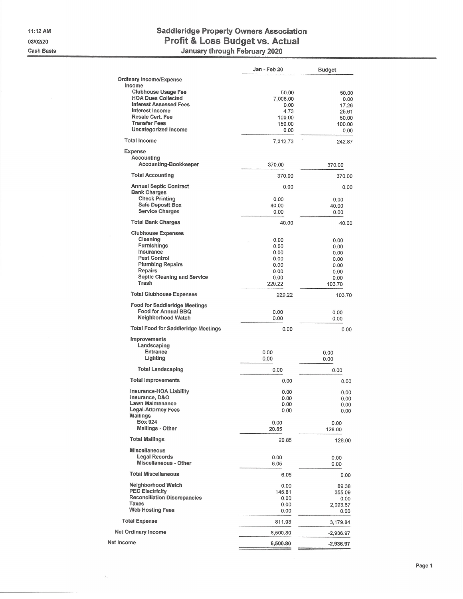11:12 AM 03/02/20 **Cash Basis** 

 $\omega_{\rm{eff}}^{(2)}$ 

# Saddleridge Property Owners Association<br>Profit & Loss Budget vs. Actual<br>January through February 2020

|                                                      | Jan - Feb 20   | <b>Budget</b>  |
|------------------------------------------------------|----------------|----------------|
| <b>Ordinary Income/Expense</b>                       |                |                |
| Income                                               |                |                |
| <b>Clubhouse Usage Fee</b>                           | 50.00          | 50.00          |
| <b>HOA Dues Collected</b>                            | 7,008.00       | 0.00           |
| <b>Interest Assessed Fees</b>                        | 0.00           | 17.26          |
| Interest Income<br><b>Resale Cert. Fee</b>           | 4.73           | 25.61          |
| <b>Transfer Fees</b>                                 | 100.00         | 50.00          |
| <b>Uncategorized Income</b>                          | 150.00<br>0.00 | 100.00<br>0.00 |
| <b>Total Income</b>                                  | 7,312.73       | 242.87         |
| <b>Expense</b>                                       |                |                |
| <b>Accounting</b>                                    |                |                |
| <b>Accounting-Bookkeeper</b>                         | 370.00         | 370.00         |
| <b>Total Accounting</b>                              | 370.00         | 370.00         |
| <b>Annual Septic Contract</b><br><b>Bank Charges</b> | 0.00           | 0.00           |
| <b>Check Printing</b>                                | 0.00           | 0.00           |
| <b>Safe Deposit Box</b>                              | 40.00          | 40.00          |
| <b>Service Charges</b>                               | 0.00           | 0.00           |
| <b>Total Bank Charges</b>                            | 40.00          | 40.00          |
| <b>Clubhouse Expenses</b>                            |                |                |
| Cleaning                                             | 0.00           | 0.00           |
| <b>Furnishings</b>                                   | 0.00           | 0.00           |
| Insurance<br><b>Pest Control</b>                     | 0.00           | 0.00           |
| <b>Plumbing Repairs</b>                              | 0.00<br>0.00   | 0.00           |
| Repairs                                              | 0.00           | 0.00<br>0.00   |
| <b>Septic Cleaning and Service</b>                   | 0.00           | 0.00           |
| Trash                                                | 229.22         | 103.70         |
| <b>Total Clubhouse Expenses</b>                      | 229.22         | 103.70         |
| <b>Food for Saddleridge Meetings</b>                 |                |                |
| Food for Annual BBQ                                  | 0.00           | 0.00           |
| Neighborhood Watch                                   | 0.00           | 0.00           |
| <b>Total Food for Saddleridge Meetings</b>           | 0.00           | 0.00           |
| Improvements                                         |                |                |
| Landscaping                                          |                |                |
| <b>Entrance</b>                                      | 0.00           | 0.00           |
| Lighting                                             | 0.00           | 0.00           |
| <b>Total Landscaping</b>                             | 0.00           | 0.00           |
| <b>Total Improvements</b>                            | 0.00           | 0.00           |
| Insurance-HOA Liability                              | 0.00           | 0.00           |
| Insurance, D&O                                       | 0.00           | 0.00           |
| Lawn Maintenance                                     | 0.00           | 0.00           |
| Legal-Attorney Fees                                  | 0.00           | 0.00           |
| <b>Mailings</b><br><b>Box 924</b>                    |                |                |
| Mailings - Other                                     | 0.00<br>20.85  | 0.00<br>128.00 |
| <b>Total Mailings</b>                                | 20.85          | 128.00         |
| <b>Miscellaneous</b>                                 |                |                |
| <b>Legal Records</b>                                 | 0.00           | 0.00           |
| <b>Miscellaneous - Other</b>                         | 6.05           | 0.00           |
| <b>Total Miscellaneous</b>                           | 6.05           | 0.00           |
| Neighborhood Watch                                   | 0.00           | 89.38          |
| <b>PEC Electricity</b>                               | 145.81         | 355.09         |
| <b>Reconciliation Discrepancies</b>                  | 0.00           | 0.00           |
| Taxes                                                | 0.00           | 2,093.67       |
| <b>Web Hosting Fees</b>                              | 0.00           | 0.00           |
| <b>Total Expense</b>                                 | 811.93         | 3,179.84       |
| <b>Net Ordinary Income</b>                           | 6,500.80       | $-2,936.97$    |
| Net Income                                           | 6,500.80       | $-2,936.97$    |
|                                                      |                |                |